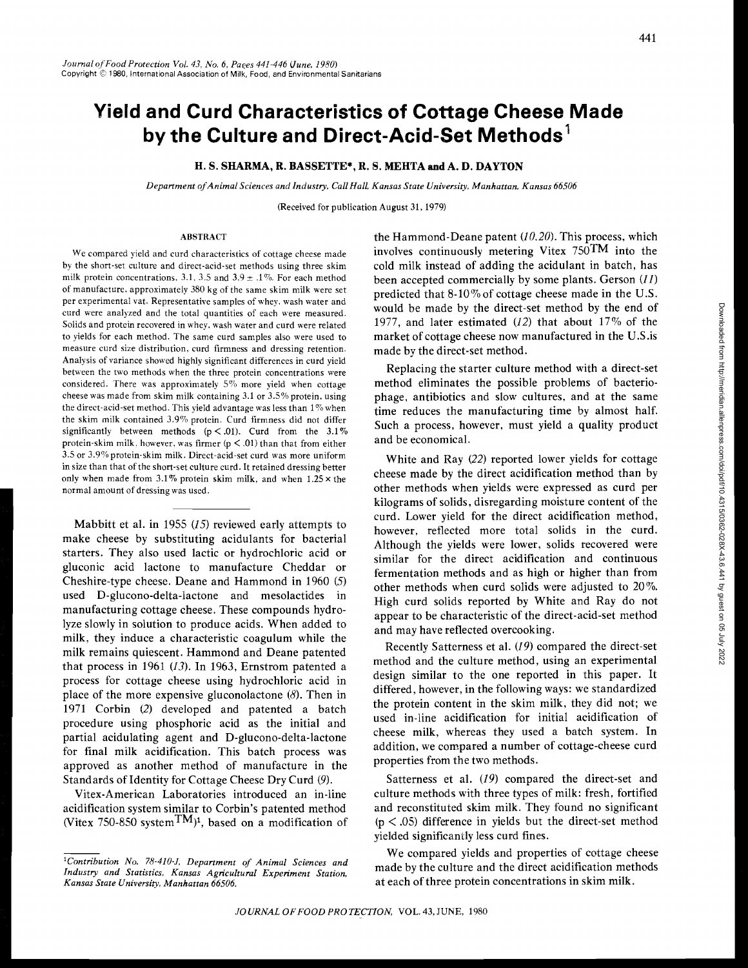# **Yield and Curd Characteristics of Cottage Cheese Made by the Culture and Direct-Acid-Set Methods 1**

## H. S. SHARMA, R. BASSETTE\*, R. S. MEHTA and A. D. DAYTON

*Department of Animal Sciences and Industry, Call Hall, Kansas State University, Manhattan, Kansas 66506* 

(Received for publication August 31. 1979)

#### ABSTRACT

We compared yield and curd characteristics of cottage cheese made by the short-set culture and direct-acid-set methods using three skim milk protein concentrations. 3.1, 3.5 and  $3.9 \pm .1\%$ . For each method of manufacture. approximately 380 kg of the same skim milk were set per experimental vat. Representative samples of whey. wash water and curd were analyzed and the total quantities of each were measured. Solids and protein recovered in whey. wash water and curd were related to yields for each method. The same curd samples also were used to measure curd size distribution, curd firmness and dressing retention. Analysis of variance showed highly significant differences in curd yield between the two methods when the three protein concentrations were considered. There was approximately 5% more yield when cottage cheese was made from skim milk containing 3.1 or 3.5% protein. using the direct-acid-set method. This yield advantage was less than  $1\%$  when the skim milk contained 3.9% protein. Curd firmness did not differ significantly between methods ( $p < .01$ ). Curd from the 3.1% protein-skim milk, however, was firmer  $(p < .01)$  than that from either 3.5 or 3.9% protein· skim milk. Direct-acid-set curd was more uniform in size than that of the short-set culture curd. It retained dressing better only when made from  $3.1\%$  protein skim milk, and when  $1.25 \times$  the normal amount of dressing was used.

Mabbitt et al. in 1955 (15) reviewed early attempts to make cheese by substituting acidulants for bacterial starters. They also used lactic or hydrochloric acid or gluconic acid lactone to manufacture Cheddar or Cheshire-type cheese. Deane and Hammond in 1960 (5) used D-glucono-delta-Iactone and mesolactides in manufacturing cottage cheese. These compounds hydrolyze slowly in solution to produce acids. When added to milk, they induce a characteristic coagulum while the milk remains quiescent. Hammond and Deane patented that process in 1961 ( $13$ ). In 1963, Ernstrom patented a process for cottage cheese using hydrochloric acid in place of the more expensive gluconolactone  $(8)$ . Then in 1971 Corbin (2) developed and patented a batch procedure using phosphoric acid as the initial and partial acidulating agent and D-glucono-delta-Iactone for final milk acidification. This batch process was approved as another method of manufacture in the Standards of Identity for Cottage Cheese Dry Curd (9).

Vitex-American Laboratories introduced an in-line acidification system similar to Corbin's patented method (Vitex 750-850 system  $TM$ )<sup>1</sup>, based on a modification of

the Hammond-Deane patent  $(10,20)$ . This process, which involves continuously metering Vitex 750™ into the cold milk instead of adding the acidulant in batch, has been accepted commercially by some plants. Gerson (11) predicted that 8-10 % of cottage cheese made in the U.S. would be made by the direct-set method by the end of 1977, and later estimated  $(12)$  that about 17% of the market of cottage cheese now manufactured in the U.S.is made by the direct-set method.

Replacing the starter culture method with a direct-set method eliminates the possible problems of bacteriophage, antibiotics and slow cultures, and at the same time reduces the manufacturing time by almost half. Such a process, however, must yield a quality product and be economical.

White and Ray (22) reported lower yields for cottage cheese made by the direct acidification method than by other methods when yields were expressed as curd per kilograms of solids, disregarding moisture content of the curd. Lower yield for the direct acidification method, however, reflected more total solids in the curd. Although the yields were lower, solids recovered were similar for the direct acidification and continuous fermentation methods and as high or higher than from other methods when curd solids were adjusted to  $20\%$ . High curd solids reported by White and Ray do not appear to be characteristic of the direct-acid-set method and may have reflected overcooking.

Recently Satterness et al. (19) compared the direct-set method and the culture method, using an experimental design similar to the one reported in this paper. It differed, however, in the following ways: we standardized the protein content in the skim milk, they did not; we used in-line acidification for initial acidification of cheese milk, whereas they used a batch system. In addition, we compared a number of cottage-cheese curd properties from the two methods.

Satterness et al. (19) compared the direct-set and culture methods with three types of milk: fresh, fortified and reconstituted skim milk. They found no significant  $(p < .05)$  difference in yields but the direct-set method yielded significantly less curd fines.

We compared yields and properties of cottage cheese made by the culture and the direct acidification methods at each of three protein concentrations in skim milk.

*IContribution No. 78-410-1. Department of Animal Sciences and Industry and Statistics. Kansas Agricultural Experiment Station. Kansas State University. Manhattan 66506.*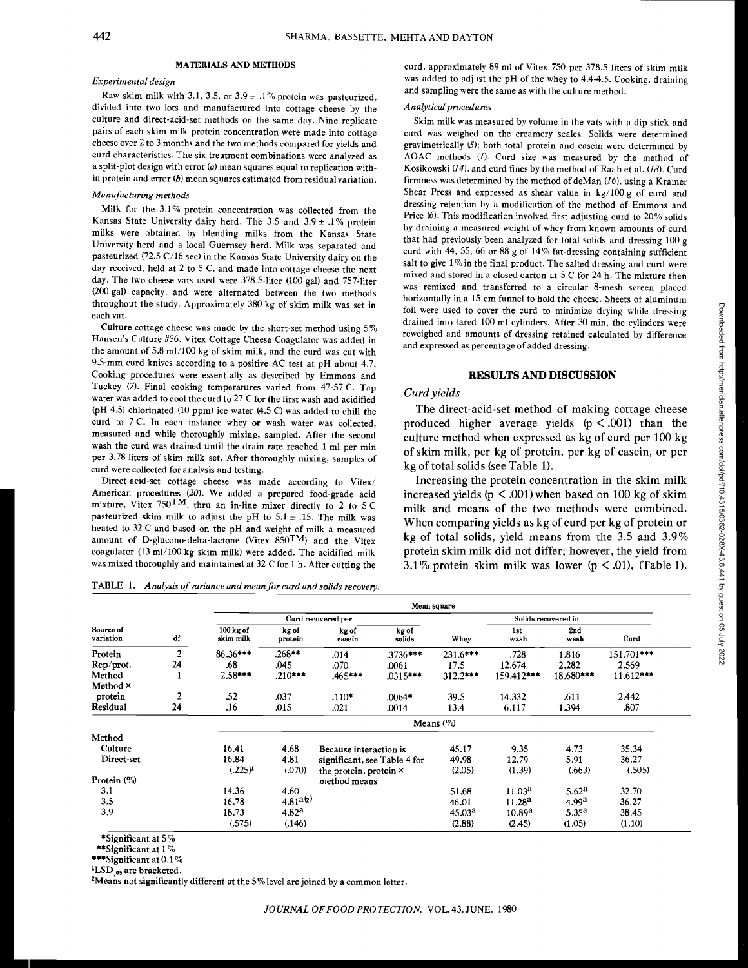#### MATERIALS AND METHODS

#### *Experimental design*

Raw skim milk with 3.1, 3.5, or  $3.9 \pm .1\%$  protein was pasteurized, divided into two lots and manufactured into cottage cheese by the culture and direct-acid-set methods on the same day. Nine replicate pairs of each skim milk protein concentration were made into cottage cheese over 2 to 3 months and the two methods compared for yields and curd characteristics. The six treatment combinations were analyzed as a split-plot design with error (a) mean squares equal to replication within protein and error  $(b)$  mean squares estimated from residual variation.

#### *Manufacturing methods*

Milk for the 3.1 % protein concentration was collected from the Kansas State University dairy herd. The 3.5 and  $3.9 \pm .1\%$  protein milks were obtained by blending milks from the Kansas State University herd and a local Guernsey herd. Milk was separated and pasteurized (72.5 C/16 sec) in the Kansas State University dairy on the day received, held at 2 to 5 C, and made into cottage cheese the next day. The two cheese vats used were 378.5-liter (100 gal) and 757-liter (200 gal) capacity, and were alternated between the two methods throughout the study. Approximately 380 kg of skim milk was set in each vat.

Culture cottage cheese was made by the short-set method using 5% Hansen's Culture #56. Vitex Cottage Cheese Coagulator was added in the amount of  $5.8$  ml/100 kg of skim milk, and the curd was cut with 9.5-mm curd knives according to a positive AC test at pH about 4.7. Cooking procedures were essentially as described by Emmons and Tuckey (7). Final cooking temperatures varied from 47-57 C. Tap water was added to cool the curd to 27 C for the first wash and acidified (pH 4.5) chlorinated (10 ppm) ice water (4.5 C) was added to chill the curd to 7 C. In each instance whey or wash water was collected, measured and while thoroughly mixing, sampled. After the second wash the curd was drained until the drain rate reached 1 ml per min per 3.78 liters of skim milk set. After thoroughly mixing, samples of curd were collected for analysis and testing.

Direct-acid-set cottage cheese was made according to Vitex/ American procedures (20). We added a prepared food-grade acid mixture, Vitex 750 1M, thru an in-line mixer directly to 2 to 5 C pasteurized skim milk to adjust the pH to  $5.1 \pm .15$ . The milk was heated to 32 C and based on the pH and weight of milk a measured amount of D-glucono-delta-lactone (Vitex 850™) and the Vitex coagulator (13 ml/100 kg skim milk) were added. The acidified milk was mixed thoroughly and maintained at 32 C for 1 h. After cutting the

curd, approximately 89 ml of Vitex 750 per 378.5 liters of skim milk was added to adjust the pH of the whey to 4.4-4.5. Cooking, draining and sampling were the same as with the culture method.

#### *Analytical procedures*

Skim milk was measured by volume in the vats with a dip stick and curd was weighed on the creamery scales. Solids were determined gravimetrically (5); both total protein and casein were determined by AOAC methods (1). Curd size was measured by the method of Kosikowski  $(I4)$ , and curd fines by the method of Raab et al.  $(I8)$ . Curd firmness was determined by the method of deMan  $(16)$ , using a Kramer Shear Press and expressed as shear value in kg/100 g of curd and dressing retention by a modification of the method of Emmons and Price  $(6)$ . This modification involved first adjusting curd to 20% solids by draining a measured weight of whey from known amounts of curd that had previously been analyzed for total solids and dressing 100 g curd with 44, 55, 66 or 88 g of  $14\%$  fat-dressing containing sufficient salt to give 1% in the final product. The salted dressing and curd were mixed and stored in a closed carton at 5 C for 24 h. The mixture then was remixed and transferred to a circular 8-mesh screen placed horizontally in a 15-cm funnel to hold the cheese. Sheets of aluminum foil were used to cover the curd to minimize drying while dressing drained into tared 100 ml cylinders. After 30 min, the cylinders were reweighed and amounts of dressing retained calculated by difference and expressed as percentage of added dressing.

#### **RESULTS AND DISCUSSION**

#### *Curd yields*

The direct-acid-set method of making cottage cheese produced higher average yields  $(p < .001)$  than the culture method when expressed as kg of curd per 100 kg of skim milk, per kg of protein, per kg of casein, or per kg of total solids (see Table 1).

Increasing the protein concentration in the skim milk increased yields ( $p < .001$ ) when based on 100 kg of skim milk and means of the two methods were combined. When comparing yields as kg of curd per kg of protein or kg of total solids, yield means from the  $3.5$  and  $3.9\%$ protein skim milk did not differ; however, the yield from 3.1% protein skim milk was lower ( $p < .01$ ), (Table 1).

|  | TABLE 1. Analysis of variance and mean for curd and solids recovery. |
|--|----------------------------------------------------------------------|
|--|----------------------------------------------------------------------|

|                        |                | Mean square                        |                   |                              |                 |                     |                    |                   |            |  |
|------------------------|----------------|------------------------------------|-------------------|------------------------------|-----------------|---------------------|--------------------|-------------------|------------|--|
|                        |                |                                    |                   | Curd recovered per           |                 | Solids recovered in |                    |                   |            |  |
| Source of<br>variation | df             | $100\,\mathrm{kg}$ of<br>skim milk | kg of<br>protein  | kg of<br>casein              | kg of<br>solids | Whey                | 1st<br>wash        | 2nd<br>wash       | Curd       |  |
| Protein                | $\overline{2}$ | $86.36***$                         | $.268***$         | .014                         | $.3736***$      | $231.6***$          | .728               | 1.816             | 151.701*** |  |
| Rep/prot.              | 24             | .68                                | .045              | .070                         | .0061           | 17.5                | 12.674             | 2.282             | 2.569      |  |
| Method                 | 1              | $2.58***$                          | $.210***$         | $.465***$                    | $0.315***$      | $312.2***$          | 159.412***         | 18.680***         | 11.612***  |  |
| Method ×               |                |                                    |                   |                              |                 |                     |                    |                   |            |  |
| protein                | $\overline{2}$ | .52                                | .037              | $.110*$                      | $.0064*$        | 39.5                | 14.332             | .611              | 2.442      |  |
| Residual               | 24             | .16                                | .015              | .021                         | .0014           | 13.4                | 6.117              | 1.394             | .807       |  |
|                        |                | Means $(\%)$                       |                   |                              |                 |                     |                    |                   |            |  |
| Method                 |                |                                    |                   |                              |                 |                     |                    |                   |            |  |
| Culture                |                | 16.41                              | 4.68              | Because interaction is       |                 | 45.17               | 9.35               | 4.73              | 35.34      |  |
| Direct-set             |                | 16.84                              | 4.81              | significant, see Table 4 for |                 | 49.98               | 12.79              | 5.91              | 36.27      |  |
|                        |                | $(.225)^1$                         | (.070)            | the protein, protein ×       |                 | (2.05)              | (1.39)             | (.663)            | (.505)     |  |
| Protein $(\%)$         |                |                                    |                   | method means                 |                 |                     |                    |                   |            |  |
| 3.1                    |                | 14.36                              | 4.60              |                              |                 | 51.68               | 11.03 <sup>a</sup> | 5.62 <sup>a</sup> | 32.70      |  |
| 3.5                    |                | 16.78                              | $4.81^{a(2)}$     |                              |                 | 46.01               | 11.28 <sup>a</sup> | 4.99 <sup>a</sup> | 36.27      |  |
| 3.9                    |                | 18.73                              | 4.82 <sup>a</sup> |                              |                 | 45.03 <sup>a</sup>  | 10.89 <sup>a</sup> | 5.35 <sup>a</sup> | 38.45      |  |
|                        |                | (.575)                             | (.146)            |                              |                 | (2.88)              | (2.45)             | (1.05)            | (1.10)     |  |

\*Significant at 5%

\*\*Significant at 1%

\*\*\*Significant at 0.1%

 $1$ LSD  $_{05}$  are bracketed.

<sup>2</sup>Means not significantly different at the 5% level are joined by a common letter.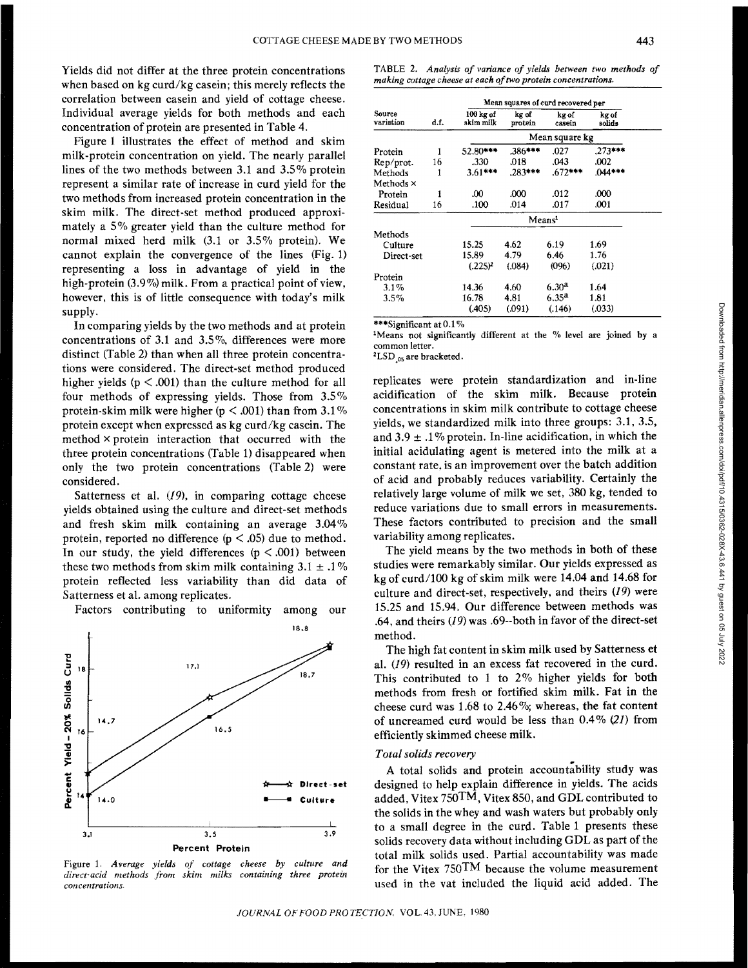Yields did not differ at the three protein concentrations when based on kg curd/kg casein; this merely reflects the correlation between casein and yield of cottage cheese. Individual average yields for both methods and each concentration of protein are presented in Table 4.

Figure 1 illustrates the effect of method and skim milk-protein concentration on yield. The nearly parallel lines of the two methods between 3.1 and 3.5% protein represent a similar rate of increase in curd yield for the two methods from increased protein concentration in the skim milk. The direct-set method produced approximately a 5% greater yield than the culture method for normal mixed herd milk (3.1 or 3.5% protein). We cannot explain the convergence of the lines (Fig. 1) representing a loss in advantage of yield in the high-protein (3.9%) milk. From a practical point of view, however, this is of little consequence with today's milk supply.

In comparing yields by the two methods and at protein concentrations of 3.1 and 3.5%, differences were more distinct (Table 2) than when all three protein concentrations were considered. The direct-set method produced higher yields  $(p < .001)$  than the culture method for all four methods of expressing yields. Those from  $3.5\%$ protein-skim milk were higher ( $p < .001$ ) than from 3.1% protein except when expressed as kg curd/kg casein. The method x protein interaction that occurred with the three protein concentrations (Table 1) disappeared when only the two protein concentrations (Table 2) were considered.

Satterness et al.  $(19)$ , in comparing cottage cheese yields obtained using the culture and direct-set methods and fresh skim milk containing an average 3.04% protein, reported no difference  $(p < .05)$  due to method. In our study, the yield differences  $(p < .001)$  between these two methods from skim milk containing  $3.1 \pm .1\%$ protein reflected less variability than did data of Satterness et al. among replicates.

Factors contributing to uniformity among our



Figure 1. *Average yields of cottage cheese by culture and direct· acid methods from skim milks containing three protein concentrations.* 

TABLE 2. *Analysis of variance of yields between two methods of making cottage cheese at each of two protein concentrations.* 

| Mean squares of curd recovered per |      |                        |                  |                    |                 |
|------------------------------------|------|------------------------|------------------|--------------------|-----------------|
| Source<br>variation                | d.f. | 100 kg of<br>skim milk | kg of<br>protein | kg of<br>casein    | kg of<br>solids |
|                                    |      |                        |                  | Mean square kg     |                 |
| Protein                            | 1    | 52.80***               | $.386***$        | .027               | $.273***$       |
| Rep/prot.                          | 16   | .330                   | .018             | .043               | .002            |
| Methods                            | 1    | $3.61***$              | .283***          | $.672***$          | .044***         |
| Methods ×                          |      |                        |                  |                    |                 |
| Protein                            | 1    | .00                    | 000              | .012               | .000            |
| Residual                           | 16   | .100                   | .014             | .017               | .001            |
|                                    |      |                        |                  | Means <sup>1</sup> |                 |
| Methods                            |      |                        |                  |                    |                 |
| Culture                            |      | 15.25                  | 4.62             | 6.19               | 1.69            |
| Direct-set                         |      | 15.89                  | 4.79             | 6.46               | 1.76            |
|                                    |      | $(.225)^2$             | (.084)           | (096)              | (.021)          |
| Protein                            |      |                        |                  |                    |                 |
| $3.1\%$                            |      | 14.36                  | 4.60             | 6.30 <sup>a</sup>  | 1.64            |
| $3.5\%$                            |      | 16.78                  | 4.81             | 6.35 <sup>2</sup>  | 1.81            |
|                                    |      | (.405)                 | (.091)           | (.146)             | (.033)          |

\*\*\*Significant at  $0.1\%$ 

<sup>1</sup>Means not significantly different at the % level are joined by a common letter.

<sup>2</sup>LSD<sub>.05</sub> are bracketed.

replicates were protein standardization and in-line acidification of the skim milk. Because protein concentrations in skim milk contribute to cottage cheese yields, we standardized milk into three groups: 3.1, 3.5, and  $3.9 \pm .1\%$  protein. In-line acidification, in which the initial acidulating agent is metered into the milk at a constant rate, is an improvement over the batch addition of acid and probably reduces variability. Certainly the relatively large volume of milk we set, 380 kg, tended to reduce variations due to small errors in measurements. These factors contributed to precision and the small variability among replicates.

The yield means by the two methods in both of these studies were remarkably similar. Our yields expressed as kg of curd/100 kg of skim milk were  $14.04$  and  $14.68$  for culture and direct-set, respectively, and theirs (19) were 15.25 and 15.94. Our difference between methods was .64, and theirs (19) was .69--both in favor of the direct-set method.

The high fat content in skim milk used by Satterness et al. (19) resulted in an excess fat recovered in the curd. This contributed to 1 to  $2\%$  higher yields for both methods from fresh or fortified skim milk. Fat in the cheese curd was 1.68 to 2.46%; whereas, the fat content of uncreamed curd would be less than  $0.4\%$  (21) from efficiently skimmed cheese milk.

#### *Total solids recovery*

A total solids and protein accountability study was designed to help explain difference in yields. The acids added, Vitex 7SO™, Vitex 850, and GDL contributed to the solids in the whey and wash waters but probably only to a small degree in the curd. Table 1 presents these solids recovery data without including GDL as part of the total milk solids used. Partial accountability was made for the Vitex  $750<sup>TM</sup>$  because the volume measurement used in the vat included the liquid acid added. The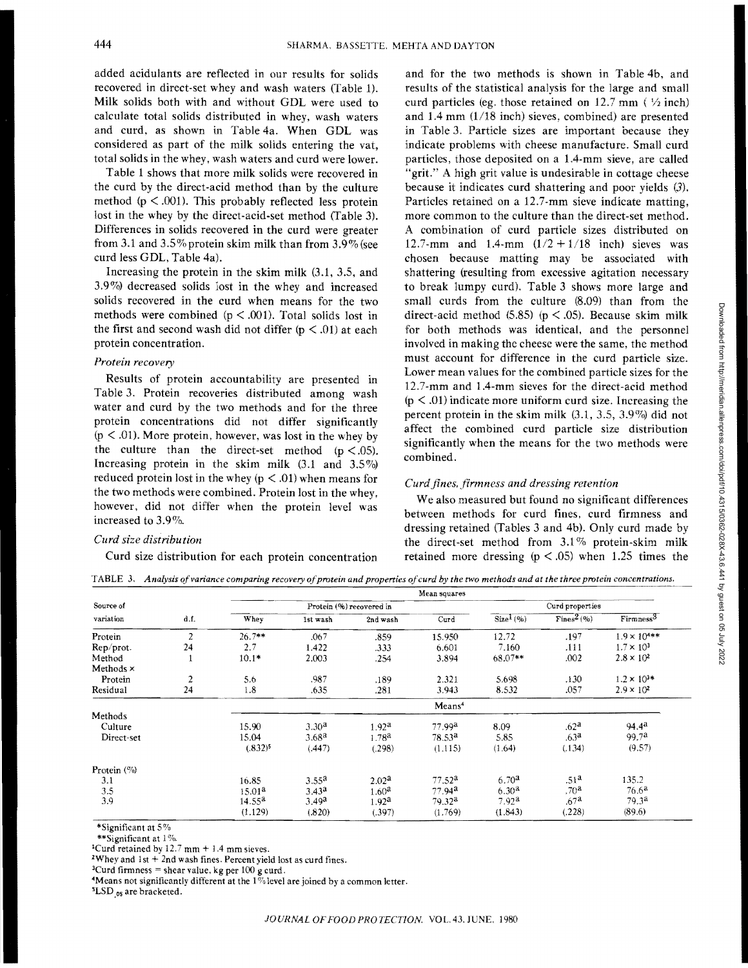added acidulants are reflected in our results for solids recovered in direct-set whey and wash waters (Table 1). Milk solids both with and without GDL were used to calculate total solids distributed in whey, wash waters and curd, as shown in Table 4a. When GDL was considered as part of the milk solids entering the vat, total solids in the whey, wash waters and curd were lower.

Table 1 shows that more milk solids were recovered in the curd by the direct-acid method than by the culture method  $(p < .001)$ . This probably reflected less protein lost in the whey by the direct-acid-set method (Table 3). Differences in solids recovered in the curd were greater from 3.1 and 3.5% protein skim milk than from 3.9% (see curd less GDL. Table 4a).

Increasing the protein in the skim milk (3.1, 3.5, and 3.9%) decreased solids lost in the whey and increased solids recovered in the curd when means for the two methods were combined ( $p < .001$ ). Total solids lost in the first and second wash did not differ  $(p < .01)$  at each protein concentration.

#### *Protein recovery*

Results of protein accountability are presented in Table 3. Protein recoveries distributed among wash water and curd by the two methods and for the three protein concentrations did not difler significantly  $(p < .01)$ . More protein, however, was lost in the whey by the culture than the direct-set method  $(p < .05)$ . Increasing protein in the skim milk (3.1 and 3.5%) reduced protein lost in the whey ( $p < .01$ ) when means for the two methods were combined. Protein lost in the whey, however, did not differ when the protein level was increased to 3.9%.

## *Curd size distribution*

Curd size distribution for each protein concentration

and for the two methods is shown in Table 4b, and results of the statistical analysis for the large and small curd particles (eg. those retained on 12.7 mm ( $\frac{1}{2}$  inch) and  $1.4 \text{ mm } (1/18 \text{ inch})$  sieves, combined) are presented in Table 3. Particle sizes are important because they indicate problems with cheese manufacture. Small curd particles, those deposited on a 1.4-mm sieve, are called "grit." A high grit value is undesirable in cottage cheese because it indicates curd shattering and poor yields (3). Particles retained on a 12.7-mm sieve indicate matting, more common to the culture than the direct-set method. A combination of curd particle sizes distributed on 12.7-mm and 1.4-mm  $(1/2 + 1/18$  inch) sieves was chosen because matting may be associated with shattering (resulting from excessive agitation necessary to break lumpy curd). Table 3 shows more large and small curds from the culture (8.09) than from the direct-acid method  $(5.85)$  (p  $\lt$  .05). Because skim milk for both methods was identical, and the personnel involved in making the cheese were the same, the method must account for difference in the curd particle size. Lower mean values for the combined particle sizes for the 12.7-mm and 1.4-mm sieves for the direct-acid method  $(p \lt 0.01)$  indicate more uniform curd size. Increasing the percent protein in the skim milk (3.1,3.5,3.9%) did not affect the combined curd particle size distribution significantly when the means for the two methods were combined.

## *Curdfines.firmness and dressing retention*

We also measured but found no significant differences between methods for curd fines, curd firmness and dressing retained (Tables 3 and 4b). Only curd made by the direct-set method from 3.1 % protein-skim milk retained more dressing  $(p < .05)$  when 1.25 times the

TABLE 3. Analysis of variance comparing recovery of protein and properties of curd by the two methods and at the three protein concentrations.

|                  |                         |                    |                   |                          | Mean squares       |                      |                                 |                       |
|------------------|-------------------------|--------------------|-------------------|--------------------------|--------------------|----------------------|---------------------------------|-----------------------|
| Source of        |                         |                    |                   | Protein (%) recovered in |                    |                      | Curd properties                 |                       |
| variation        | d.f.                    | Whey               | 1st wash          | 2nd wash                 | Curd               | Size <sup>1</sup> (% | $\overline{\text{Fines}^2(96)}$ | Firmness <sup>3</sup> |
| Protein          | $\overline{c}$          | $26.7**$           | .067              | .859                     | 15.950             | 12.72                | .197                            | $1.9 \times 10^{4**}$ |
| Rep/prot.        | 24                      | 2.7                | 1.422             | .333                     | 6.601              | 7.160                | .111                            | $1.7 \times 10^{3}$   |
| Method           | 1                       | $10.1*$            | 2.003             | .254                     | 3.894              | $68.07**$            | .002                            | $2.8 \times 10^2$     |
| Methods $\times$ |                         |                    |                   |                          |                    |                      |                                 |                       |
| Protein          | $\overline{\mathbf{c}}$ | 5.6                | .987              | .189                     | 2.321              | 5.698                | .130                            | $1.2 \times 10^{3*}$  |
| Residual         | 24                      | 1.8                | .635              | .281                     | 3.943              | 8.532                | .057                            | $2.9 \times 10^{2}$   |
|                  |                         |                    |                   |                          | Means <sup>4</sup> |                      |                                 |                       |
| Methods          |                         |                    |                   |                          |                    |                      |                                 |                       |
| Culture          |                         | 15.90              | 3.30 <sup>a</sup> | 1.92 <sup>a</sup>        | 77.99 <sup>a</sup> | 8.09                 | .62 <sup>a</sup>                | $94.4^{\circ}$        |
| Direct-set       |                         | 15.04              | 3.68 <sup>a</sup> | 1.78 <sup>a</sup>        | $78.53^{\text{a}}$ | 5.85                 | .63 <sup>a</sup>                | 99.7 <sup>a</sup>     |
|                  |                         | $(.832)^5$         | (.447)            | (.298)                   | (1.115)            | (1.64)               | (.134)                          | (9.57)                |
| Protein (%)      |                         |                    |                   |                          |                    |                      |                                 |                       |
| 3.1              |                         | 16.85              | 3.55 <sup>a</sup> | 2.02 <sup>a</sup>        | $77.52^{\rm a}$    | 6.70 <sup>3</sup>    | .51 <sup>a</sup>                | 135.2                 |
| 3.5              |                         | 15.01 <sup>a</sup> | 3.43 <sup>a</sup> | $1.60^{a}$               | $77,94^{\rm a}$    | 6.30 <sup>a</sup>    | .70 <sup>2</sup>                | 76.6 <sup>a</sup>     |
| 3.9              |                         | 14.55 <sup>a</sup> | 3.49 <sup>a</sup> | 1.92 <sup>a</sup>        | 79.32 <sup>a</sup> | 7.92 <sup>a</sup>    | .67 <sup>a</sup>                | 79.3 <sup>a</sup>     |
|                  |                         | (1.129)            | (.820)            | (.397)                   | (1.769)            | (1.843)              | (.228)                          | (89.6)                |

\*Significant at 5%

\*\*Significant at 1 %.

<sup>1</sup>Curd retained by 12.7 mm  $+$  1.4 mm sieves.

<sup>2</sup>Whey and 1st  $+$  2nd wash fines. Percent yield lost as curd fines.

<sup>3</sup>Curd firmness = shear value. kg per  $100$  g curd.

<sup>4</sup>Means not significantly different at the  $1\%$  level are joined by a common letter.

 ${}^5$ LSD <sub>os</sub> are bracketed.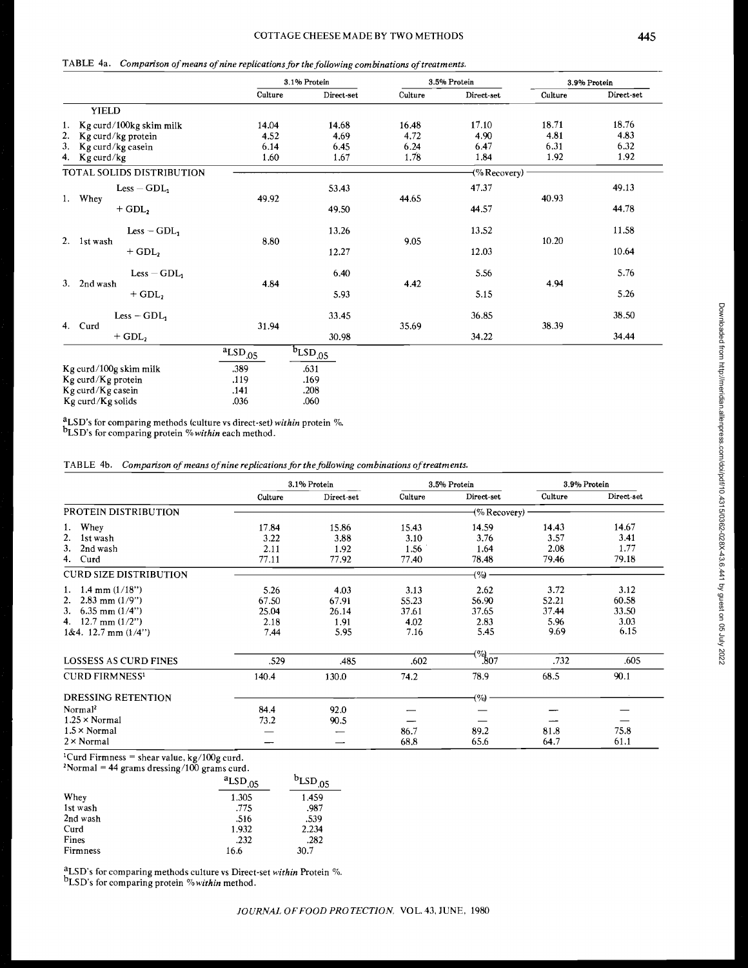|  |  |  |  | TABLE 4a. Comparison of means of nine replications for the following combinations of treatments. |
|--|--|--|--|--------------------------------------------------------------------------------------------------|
|--|--|--|--|--------------------------------------------------------------------------------------------------|

|                                                        |                       | 3.1% Protein               |               | 3.5% Protein   | 3.9% Protein  |               |
|--------------------------------------------------------|-----------------------|----------------------------|---------------|----------------|---------------|---------------|
|                                                        | Culture               | Direct-set                 | Culture       | Direct-set     | Culture       | Direct-set    |
| <b>YIELD</b>                                           |                       |                            |               |                |               |               |
| 1. Kg curd/100kg skim milk<br>2.<br>Kg curd/kg protein | 14.04<br>4.52         | 14.68<br>4.69              | 16.48<br>4.72 | 17.10<br>4.90  | 18.71<br>4.81 | 18.76<br>4.83 |
| 3.<br>Kg curd/kg casein                                | 6.14                  | 6.45                       | 6.24          | 6.47           | 6.31          | 6.32          |
| Kg curd/kg<br>4.                                       | 1.60                  | 1.67                       | 1.78          | 1.84           | 1.92          | 1.92          |
| TOTAL SOLIDS DISTRIBUTION                              |                       |                            |               | (% Recovery) - |               |               |
| $Less - GDL_1$<br>1. Whey                              | 49.92                 | 53.43                      | 44.65         | 47.37          | 40.93         | 49.13         |
| $+$ GDL <sub>2</sub>                                   |                       | 49.50                      |               | 44.57          |               | 44.78         |
| $Less - GDL$                                           | 8.80                  | 13.26                      | 9.05          | 13.52          | 10.20         | 11.58         |
| 2. 1st wash<br>$+$ GDL,                                |                       | 12.27                      |               | 12.03          |               | 10.64         |
| $Less - GDL_1$                                         |                       | 6.40                       |               | 5.56           | 4.94          | 5.76          |
| 3. 2nd wash<br>$+$ GDL,                                | 4.84                  | 5.93                       | 4.42          | 5.15           |               | 5.26          |
| $Less - GDL_1$                                         |                       | 33.45                      |               | 36.85          | 38.39         | 38.50         |
| 4. Curd<br>$+$ GDL <sub>2</sub>                        | 31.94                 | 30.98                      | 35.69         | 34.22          |               | 34.44         |
|                                                        | $a$ <sub>LSD.05</sub> | $\overline{b_{LSD}}_{.05}$ |               |                |               |               |
| $Kg \, \text{curl}/100g \, \text{skin milk}$           | .389                  | .631                       |               |                |               |               |
| Kg curd/Kg protein                                     | .119                  | .169                       |               |                |               |               |
| Kg curd/Kg casein                                      | .141                  | .208                       |               |                |               |               |
| $Kg$ curd/ $Kg$ solids                                 | .036                  | .060                       |               |                |               |               |

aLSD's for comparing methods (culture vs direct-set) *within* protein %. bLSD's for comparing protein % *within* each method.

TABLE 4b. *Comparison of means of nine replications for the following combinations of treatments.* 

|                                  |         | 3.1% Protein |         | 3.5% Protein                | 3.9% Protein |            |
|----------------------------------|---------|--------------|---------|-----------------------------|--------------|------------|
|                                  | Culture | Direct-set   | Culture | Direct-set                  | Culture      | Direct-set |
| PROTEIN DISTRIBUTION             |         |              |         | $(\%$ Recovery) $\cdot$     |              |            |
| Whey<br>1.                       | 17.84   | 15.86        | 15.43   | 14.59                       | 14.43        | 14.67      |
| 2.<br>1st wash                   | 3.22    | 3.88         | 3.10    | 3.76                        | 3.57         | 3.41       |
| 3. 2nd wash                      | 2.11    | 1.92         | 1.56    | 1.64                        | 2.08         | 1.77       |
| 4. Curd                          | 77.11   | 77.92        | 77.40   | 78.48                       | 79.46        | 79.18      |
| <b>CURD SIZE DISTRIBUTION</b>    |         |              |         | $( \% )$                    |              |            |
| 1. $1.4 \text{ mm } (1/18")$     | 5.26    | 4.03         | 3.13    | 2.62                        | 3.72         | 3.12       |
| 2. $2.83 \text{ mm} (1/9'')$     | 67.50   | 67.91        | 55.23   | 56.90                       | 52.21        | 60.58      |
| 3. $6.35$ mm $(1/4")$            | 25.04   | 26.14        | 37.61   | 37.65                       | 37.44        | 33.50      |
| 4. 12.7 mm $(1/2)$               | 2.18    | 1.91         | 4.02    | 2.83                        | 5.96         | 3.03       |
| 1&4. 12.7 mm $(1/4'')$           | 7.44    | 5.95         | 7.16    | 5.45                        | 9.69         | 6.15       |
|                                  |         |              |         |                             |              |            |
| <b>LOSSESS AS CURD FINES</b>     | .529    | .485         | .602    | $^{(9)}\!\!\!\!\!\!\!\!807$ | .732         | .605       |
| <b>CURD FIRMNESS<sup>1</sup></b> | 140.4   | 130.0        | 74.2    | 78.9                        | 68.5         | 90.1       |
| DRESSING RETENTION               |         |              |         | (°7)                        |              |            |
| Normal <sup>2</sup>              | 84.4    | 92.0         |         |                             |              |            |
| $1.25 \times$ Normal             | 73.2    | 90.5         |         |                             |              |            |
| $1.5 \times$ Normal              |         |              | 86.7    | 89.2                        | 81.8         | 75.8       |
| $2 \times$ Normal                |         |              | 68.8    | 65.6                        | 64.7         | 61.1       |

<sup>1</sup>Curd Firmness = shear value, kg/100g curd.

| $\text{2}$ Normal = 44 grams dressing/100 grams curd. |                        |                        |  |
|-------------------------------------------------------|------------------------|------------------------|--|
|                                                       | $a$ LSD <sub>.05</sub> | $b$ LSD <sub>.05</sub> |  |
| Whey                                                  | 1.305                  | 1.459                  |  |
| 1st wash                                              | .775                   | .987                   |  |
| 2nd wash                                              | .516                   | .539                   |  |
| Curd                                                  | 1.932                  | 2.234                  |  |

aLSD's for comparing methods culture vs Direct-set *within* Protein 0/0.

.232 16.6

<sup>D</sup>LSD's for comparing protein <sup>%</sup> within method.

Fines Firmness

.282 30.7